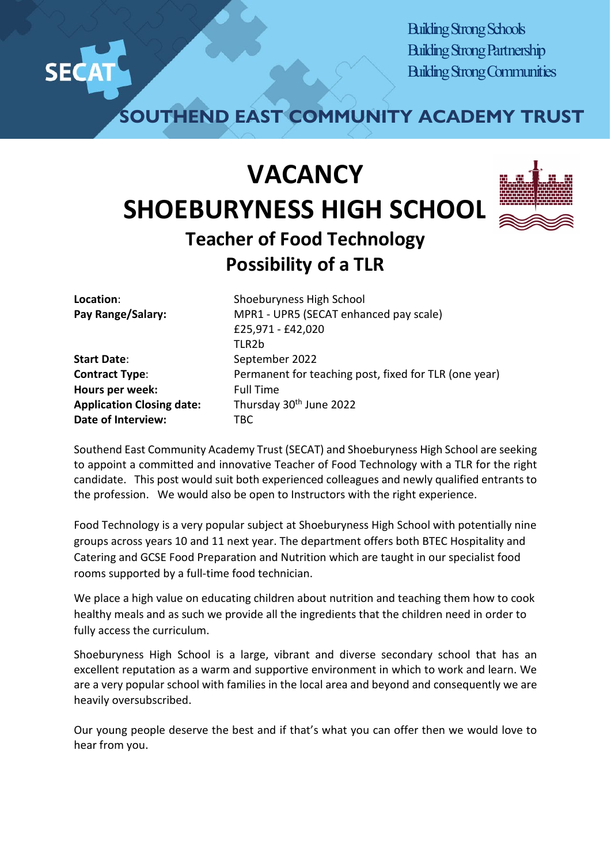

Building Strong Schools Building Strong Partnership Building Strong Communities

**SOUTHEND EAST COMMUNITY ACADEMY TRUST**

## **VACANCY SHOEBURYNESS HIGH SCHOOL Teacher of Food Technology**



## **Possibility of a TLR Location:** Shoeburyness High School **Pay Range/Salary:** MPR1 - UPR5 (SECAT enhanced pay scale) £25,971 - £42,020 TI<sub>R2</sub>h

**Start Date:** September 2022 **Hours per week:** Full Time **Application Closing date:** Thursday 30th June 2022 **Date of Interview:** TBC

**Contract Type:** Permanent for teaching post, fixed for TLR (one year)

Southend East Community Academy Trust (SECAT) and Shoeburyness High School are seeking to appoint a committed and innovative Teacher of Food Technology with a TLR for the right candidate. This post would suit both experienced colleagues and newly qualified entrants to the profession. We would also be open to Instructors with the right experience.

Food Technology is a very popular subject at Shoeburyness High School with potentially nine groups across years 10 and 11 next year. The department offers both BTEC Hospitality and Catering and GCSE Food Preparation and Nutrition which are taught in our specialist food rooms supported by a full-time food technician.

We place a high value on educating children about nutrition and teaching them how to cook healthy meals and as such we provide all the ingredients that the children need in order to fully access the curriculum.

Shoeburyness High School is a large, vibrant and diverse secondary school that has an excellent reputation as a warm and supportive environment in which to work and learn. We are a very popular school with families in the local area and beyond and consequently we are heavily oversubscribed.

Our young people deserve the best and if that's what you can offer then we would love to hear from you.